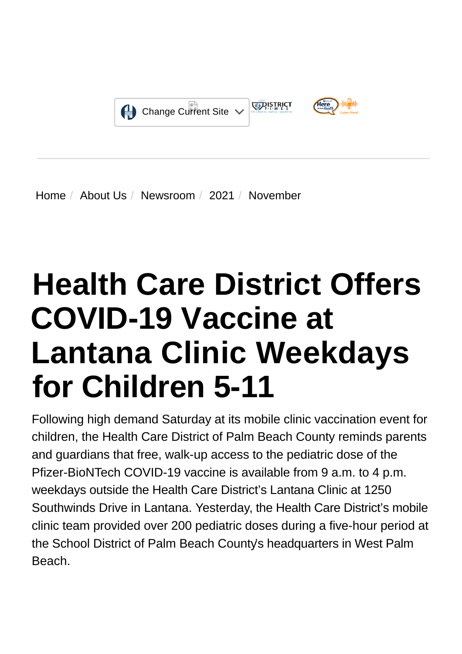

[Home](https://www.hcdpbc.org/) / [About Us](https://www.hcdpbc.org/about-us) / [Newsroom](https://www.hcdpbc.org/About-Us/newsroom) / [2021](https://www.hcdpbc.org/About-Us/Newsroom/2021) / November

# **Health Care District Offers COVID-19 Vaccine at Lantana Clinic Weekdays for Children 5-11**

Following high demand Saturday at its mobile clinic vaccination event for children, the Health Care District of Palm Beach County reminds parents and guardians that free, walk-up access to the pediatric dose of the Pfizer-BioNTech COVID-19 vaccine is available from 9 a.m. to 4 p.m. weekdays outside the Health Care District's Lantana Clinic at 1250 Southwinds Drive in Lantana. Yesterday, the Health Care District's mobile clinic team provided over 200 pediatric doses during a five-hour period at the [School District of Palm Beach County's](http://https//www.palmbeachschools.org/students_parents/health_services/coronavirus_disease_2019__covid_19/covid_19_vaccination_locations/Pediatric_Vaccine) headquarters in West Palm Beach.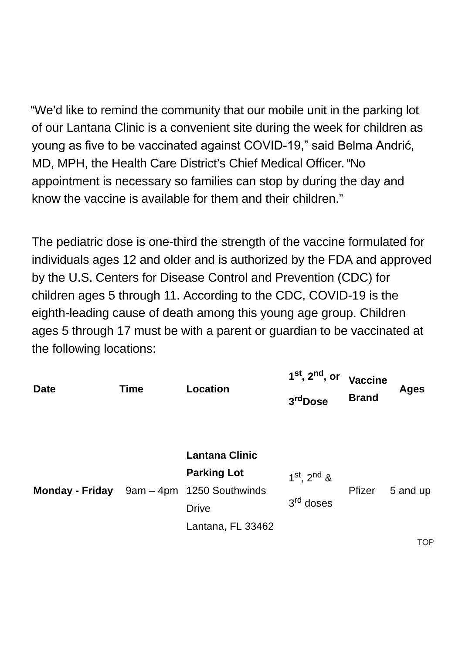"We'd like to remind the community that our mobile unit in the parking lot of our Lantana Clinic is a convenient site during the week for children as young as five to be vaccinated against COVID-19," said Belma Andrić, MD, MPH, the Health Care District's Chief Medical Officer. "No appointment is necessary so families can stop by during the day and know the vaccine is available for them and their children."

The pediatric dose is one-third the strength of the vaccine formulated for individuals ages 12 and older and is authorized by the [FDA a](http://https//www.fda.gov/news-events/press-announcements/fda-authorizes-pfizer-biontech-covid-19-vaccine-emergency-use-children-5-through-11-years-age)nd approved by the U.S. [Centers for Disease Control and Prevention](http://https//urldefense.com/v3/__http:/www.cdc.gov/vaccines/covid-19/planning/children.html__;!!GJGkTnIE!YVQCZx5qE6WyZHaYeIUpJ7uhxZSU7-It4fqY8F7QPu4feKKOn8y5kdsjS8ouzA$) (CDC) for children ages 5 through 11. According to the CDC, COVID-19 is the eighth-leading cause of death among this young age group. Children ages 5 through 17 must be with a parent or guardian to be vaccinated at the following locations:

| <b>Date</b> | <b>Time</b> | <b>Location</b>                                                                                                               | $1^\mathsf{st}, 2^\mathsf{nd},$ or<br>3 <sup>rd</sup> Dose | <b>Vaccine</b><br><b>Brand</b> | <b>Ages</b> |
|-------------|-------------|-------------------------------------------------------------------------------------------------------------------------------|------------------------------------------------------------|--------------------------------|-------------|
|             |             | <b>Lantana Clinic</b><br><b>Parking Lot</b><br>Monday - Friday 9am - 4pm 1250 Southwinds<br><b>Drive</b><br>Lantana, FL 33462 | $1^{st}$ , $2^{nd}$ &<br>3 <sup>rd</sup> doses             | Pfizer                         | 5 and up    |

**TOP**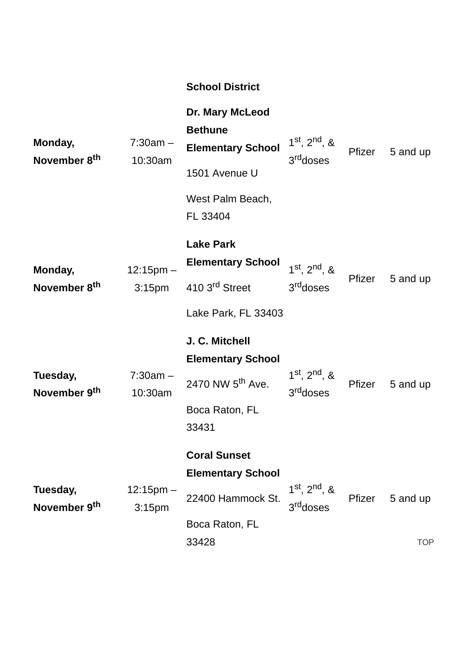|                                      |                                      | <b>School District</b>                                                                                |                                                  |               |            |
|--------------------------------------|--------------------------------------|-------------------------------------------------------------------------------------------------------|--------------------------------------------------|---------------|------------|
| Monday,<br>November 8 <sup>th</sup>  | $7:30am -$<br>10:30am                | Dr. Mary McLeod<br><b>Bethune</b><br><b>Elementary School</b><br>1501 Avenue U                        | $1^{st}$ , $2^{nd}$ , &<br>3 <sup>rd</sup> doses | Pfizer        | 5 and up   |
|                                      |                                      | West Palm Beach,<br>FL 33404                                                                          |                                                  |               |            |
| Monday,                              | $12:15$ pm $-$<br>3:15 <sub>pm</sub> | <b>Lake Park</b><br><b>Elementary School</b>                                                          | $1^{st}$ , $2^{nd}$ , &<br>3 <sup>rd</sup> doses | Pfizer        | 5 and up   |
| November 8 <sup>th</sup>             |                                      | 410 3 <sup>rd</sup> Street<br>Lake Park, FL 33403                                                     |                                                  |               |            |
| Tuesday,<br>November 9 <sup>th</sup> | $7:30am -$<br>10:30am                | J. C. Mitchell<br><b>Elementary School</b><br>2470 NW 5 <sup>th</sup> Ave.<br>Boca Raton, FL<br>33431 | $1^{st}$ , $2^{nd}$ , &<br>3 <sup>rd</sup> doses | Pfizer        | 5 and up   |
| Tuesday,<br>November 9 <sup>th</sup> | $12:15pm -$<br>3:15 <sub>pm</sub>    | <b>Coral Sunset</b><br><b>Elementary School</b><br>22400 Hammock St.<br>Boca Raton, FL                | $1^{st}$ , $2^{nd}$ , &<br>3 <sup>rd</sup> doses | <b>Pfizer</b> | 5 and up   |
|                                      |                                      | 33428                                                                                                 |                                                  |               | <b>TOP</b> |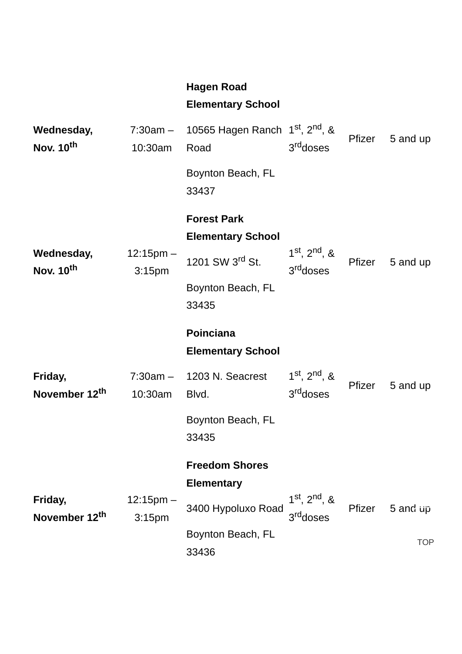#### **Hagen Road**

#### **Elementary School**

| Wednesday,<br>Nov. 10 <sup>th</sup> | $7:30am -$<br>10:30am                | 10565 Hagen Ranch $1st$ , $2nd$ , &<br>Road    | 3 <sup>rd</sup> doses                            | Pfizer | 5 and up   |
|-------------------------------------|--------------------------------------|------------------------------------------------|--------------------------------------------------|--------|------------|
|                                     |                                      | Boynton Beach, FL<br>33437                     |                                                  |        |            |
|                                     |                                      | <b>Forest Park</b><br><b>Elementary School</b> |                                                  |        |            |
| Wednesday,<br>Nov. 10 <sup>th</sup> | $12:15pm -$<br>3:15 <sub>pm</sub>    | 1201 SW 3 <sup>rd</sup> St.                    | $1^{st}$ , $2^{nd}$ , &<br>3rddoses              | Pfizer | 5 and up   |
|                                     |                                      | Boynton Beach, FL<br>33435                     |                                                  |        |            |
|                                     |                                      | Poinciana<br><b>Elementary School</b>          |                                                  |        |            |
| Friday,<br>November 12th            | $7:30am -$<br>10:30am                | 1203 N. Seacrest<br>Blvd.                      | $1^{st}$ , $2^{nd}$ , &<br>3 <sup>rd</sup> doses | Pfizer | 5 and up   |
|                                     |                                      | Boynton Beach, FL<br>33435                     |                                                  |        |            |
|                                     |                                      | <b>Freedom Shores</b><br><b>Elementary</b>     |                                                  |        |            |
| Friday,<br>November 12th            | $12:15$ pm $-$<br>3:15 <sub>pm</sub> | 3400 Hypoluxo Road                             | $1^{st}$ , $2^{nd}$ , &<br>3 <sup>rd</sup> doses | Pfizer | 5 and up   |
|                                     |                                      | Boynton Beach, FL<br>33436                     |                                                  |        | <b>TOP</b> |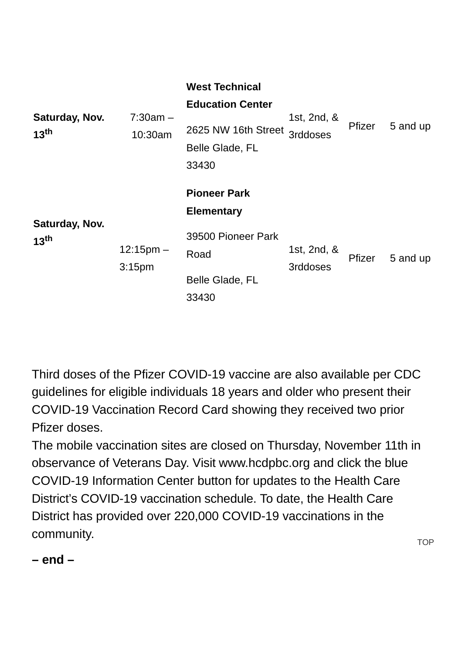|                                    |                                   | <b>West Technical</b><br><b>Education Center</b>       |                         |               |          |
|------------------------------------|-----------------------------------|--------------------------------------------------------|-------------------------|---------------|----------|
| Saturday, Nov.<br>13 <sup>th</sup> | $7:30am -$<br>10:30am             | 2625 NW 16th Street<br><b>Belle Glade, FL</b><br>33430 | 1st, 2nd, &<br>3rddoses | Pfizer        | 5 and up |
|                                    |                                   | <b>Pioneer Park</b><br><b>Elementary</b>               |                         |               |          |
| Saturday, Nov.<br>13 <sup>th</sup> | $12:15pm -$<br>3:15 <sub>pm</sub> | 39500 Pioneer Park<br>Road                             | 1st, 2nd, &<br>3rddoses | <b>Pfizer</b> | 5 and up |
|                                    |                                   | <b>Belle Glade, FL</b><br>33430                        |                         |               |          |

Third doses of the Pfizer COVID-19 vaccine are also available per [CDC](http://https//www.cdc.gov/coronavirus/2019-ncov/vaccines/booster-shot.html) guidelines for eligible individuals 18 years and older who present their COVID-19 Vaccination Record Card showing they received two prior Pfizer doses.

The mobile vaccination sites are closed on Thursday, November 11th in observance of Veterans Day. Visit [www.hcdpbc.org](http://http//www.hcdpbc.org/) and click the blue COVID-19 Information Center button for updates to the Health Care District's COVID-19 vaccination schedule. To date, the Health Care District has provided over 220,000 COVID-19 vaccinations in the community.

**– end –**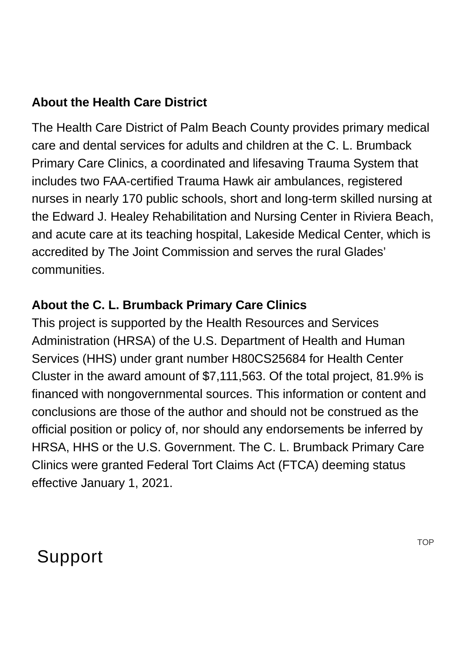#### **About the Health Care District**

The Health Care District of Palm Beach County provides primary medical care and dental services for adults and children at the C. L. Brumback Primary Care Clinics, a coordinated and lifesaving Trauma System that includes two FAA-certified Trauma Hawk air ambulances, registered nurses in nearly 170 public schools, short and long-term skilled nursing at the Edward J. Healey Rehabilitation and Nursing Center in Riviera Beach, and acute care at its teaching hospital, Lakeside Medical Center, which is accredited by The Joint Commission and serves the rural Glades' communities.

#### **About the C. L. Brumback Primary Care Clinics**

This project is supported by the Health Resources and Services Administration (HRSA) of the U.S. Department of Health and Human Services (HHS) under grant number H80CS25684 for Health Center Cluster in the award amount of \$7,111,563. Of the total project, 81.9% is financed with nongovernmental sources. This information or content and conclusions are those of the author and should not be construed as the official position or policy of, nor should any endorsements be inferred by HRSA, HHS or the U.S. Government. The C. L. Brumback Primary Care Clinics were granted Federal Tort Claims Act (FTCA) deeming status effective January 1, 2021.

### Support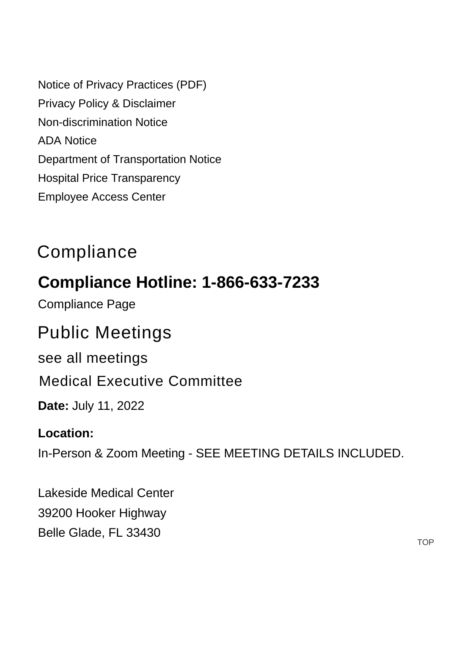[Notice of Privacy Practices \(PDF\)](https://www.hcdpbc.org/ArticleDocuments/224/Notice%20of%20Privacy%20Practices.pdf.aspx) [Privacy Policy & Disclaimer](https://www.hcdpbc.org/resources/compliance#privacy-policy-and-disclaimer) [Non-discrimination Notice](https://www.hcdpbc.org/resources/compliance#non-discrimination-notice) [ADA Notice](https://www.hcdpbc.org/resources/compliance#ada-notice) [Department of Transportation Notice](https://www.hcdpbc.org/resources/compliance#faa) [Hospital Price Transparency](https://www.hcdpbc.org/for-patients/hospital/billing-financial-assistance) [Employee Access Center](https://eac.hcdpbc.org/EAC51/Login.aspx)

## **Compliance**

### **Compliance Hotline: 1-866-633-7233**

[Compliance Page](https://www.hcdpbc.org/resources/compliance)

### Public Meetings

[see all meetings](https://www.hcdpbc.org/resources/public-meetings)

[Medical Executive Committee](https://www.hcdpbc.org/EventViewTrainingDetails.aspx?Bck=Y&EventID=473&m=0|0&DisplayType=C)

**Date:** July 11, 2022

#### **Location:**

In-Person & Zoom Meeting - SEE MEETING DETAILS INCLUDED.

Lakeside Medical Center [39200 Hooker Highway](https://www.google.com/maps?f=l&hl=en&q=39200+Hooker+Highway%2c+Belle+Glade%2c+Florida+33430) Belle Glade, FL 33430